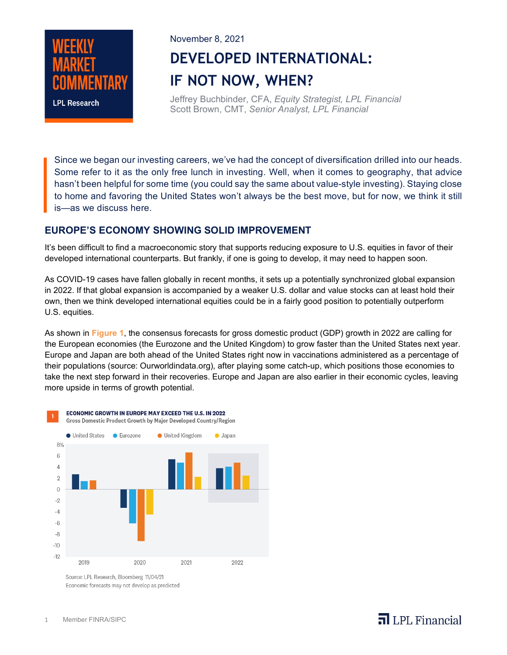

#### November 8, 2021

# **DEVELOPED INTERNATIONAL: IF NOT NOW, WHEN?**

Jeffrey Buchbinder, CFA, *Equity Strategist, LPL Financial* Scott Brown, CMT, *Senior Analyst, LPL Financial*

Since we began our investing careers, we've had the concept of diversification drilled into our heads. Some refer to it as the only free lunch in investing. Well, when it comes to geography, that advice hasn't been helpful for some time (you could say the same about value-style investing). Staying close to home and favoring the United States won't always be the best move, but for now, we think it still is—as we discuss here.

#### **EUROPE'S ECONOMY SHOWING SOLID IMPROVEMENT**

It's been difficult to find a macroeconomic story that supports reducing exposure to U.S. equities in favor of their developed international counterparts. But frankly, if one is going to develop, it may need to happen soon.

As COVID-19 cases have fallen globally in recent months, it sets up a potentially synchronized global expansion in 2022. If that global expansion is accompanied by a weaker U.S. dollar and value stocks can at least hold their own, then we think developed international equities could be in a fairly good position to potentially outperform U.S. equities.

As shown in **Figure 1**, the consensus forecasts for gross domestic product (GDP) growth in 2022 are calling for the European economies (the Eurozone and the United Kingdom) to grow faster than the United States next year. Europe and Japan are both ahead of the United States right now in vaccinations administered as a percentage of their populations (source: Ourworldindata.org), after playing some catch-up, which positions those economies to take the next step forward in their recoveries. Europe and Japan are also earlier in their economic cycles, leaving more upside in terms of growth potential.



Economic forecasts may not develop as predicted

## $\overline{\mathbf{a}}$  LPL Financial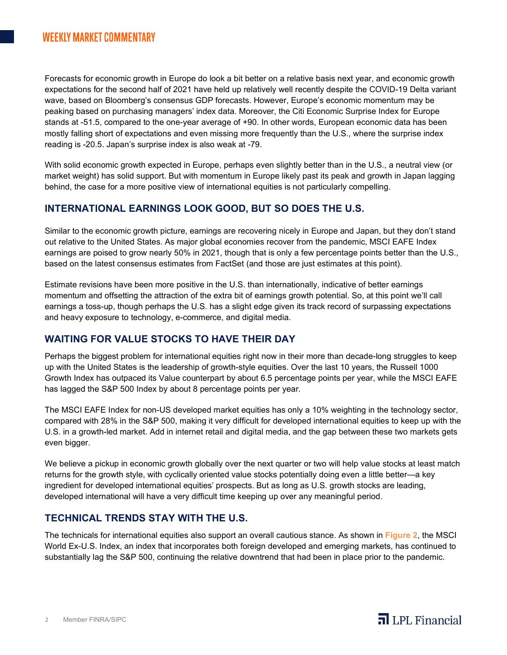Forecasts for economic growth in Europe do look a bit better on a relative basis next year, and economic growth expectations for the second half of 2021 have held up relatively well recently despite the COVID-19 Delta variant wave, based on Bloomberg's consensus GDP forecasts. However, Europe's economic momentum may be peaking based on purchasing managers' index data. Moreover, the Citi Economic Surprise Index for Europe stands at -51.5, compared to the one-year average of +90. In other words, European economic data has been mostly falling short of expectations and even missing more frequently than the U.S., where the surprise index reading is -20.5. Japan's surprise index is also weak at -79.

With solid economic growth expected in Europe, perhaps even slightly better than in the U.S., a neutral view (or market weight) has solid support. But with momentum in Europe likely past its peak and growth in Japan lagging behind, the case for a more positive view of international equities is not particularly compelling.

#### **INTERNATIONAL EARNINGS LOOK GOOD, BUT SO DOES THE U.S.**

Similar to the economic growth picture, earnings are recovering nicely in Europe and Japan, but they don't stand out relative to the United States. As major global economies recover from the pandemic, MSCI EAFE Index earnings are poised to grow nearly 50% in 2021, though that is only a few percentage points better than the U.S., based on the latest consensus estimates from FactSet (and those are just estimates at this point).

Estimate revisions have been more positive in the U.S. than internationally, indicative of better earnings momentum and offsetting the attraction of the extra bit of earnings growth potential. So, at this point we'll call earnings a toss-up, though perhaps the U.S. has a slight edge given its track record of surpassing expectations and heavy exposure to technology, e-commerce, and digital media.

### **WAITING FOR VALUE STOCKS TO HAVE THEIR DAY**

Perhaps the biggest problem for international equities right now in their more than decade-long struggles to keep up with the United States is the leadership of growth-style equities. Over the last 10 years, the Russell 1000 Growth Index has outpaced its Value counterpart by about 6.5 percentage points per year, while the MSCI EAFE has lagged the S&P 500 Index by about 8 percentage points per year.

The MSCI EAFE Index for non-US developed market equities has only a 10% weighting in the technology sector, compared with 28% in the S&P 500, making it very difficult for developed international equities to keep up with the U.S. in a growth-led market. Add in internet retail and digital media, and the gap between these two markets gets even bigger.

We believe a pickup in economic growth globally over the next quarter or two will help value stocks at least match returns for the growth style, with cyclically oriented value stocks potentially doing even a little better—a key ingredient for developed international equities' prospects. But as long as U.S. growth stocks are leading, developed international will have a very difficult time keeping up over any meaningful period.

#### **TECHNICAL TRENDS STAY WITH THE U.S.**

The technicals for international equities also support an overall cautious stance. As shown in **Figure 2**, the MSCI World Ex-U.S. Index, an index that incorporates both foreign developed and emerging markets, has continued to substantially lag the S&P 500, continuing the relative downtrend that had been in place prior to the pandemic.

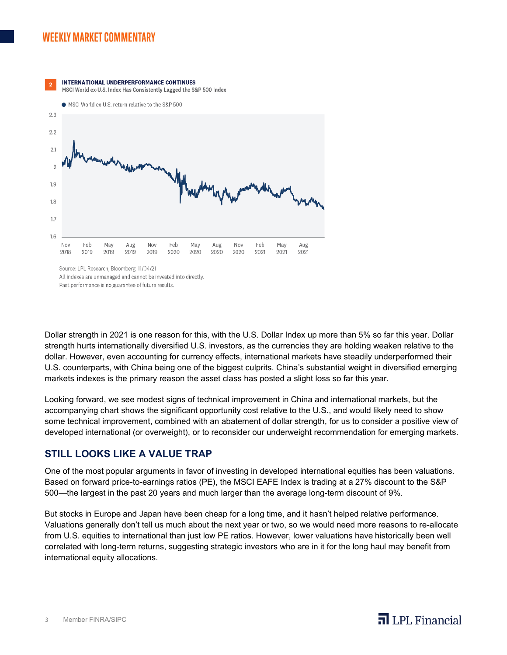## **WEEKLY MARKET COMMENTARY**



All indexes are unmanaged and cannot be invested into directly

Past performance is no guarantee of future results.

Dollar strength in 2021 is one reason for this, with the U.S. Dollar Index up more than 5% so far this year. Dollar strength hurts internationally diversified U.S. investors, as the currencies they are holding weaken relative to the dollar. However, even accounting for currency effects, international markets have steadily underperformed their U.S. counterparts, with China being one of the biggest culprits. China's substantial weight in diversified emerging markets indexes is the primary reason the asset class has posted a slight loss so far this year.

Looking forward, we see modest signs of technical improvement in China and international markets, but the accompanying chart shows the significant opportunity cost relative to the U.S., and would likely need to show some technical improvement, combined with an abatement of dollar strength, for us to consider a positive view of developed international (or overweight), or to reconsider our underweight recommendation for emerging markets.

#### **STILL LOOKS LIKE A VALUE TRAP**

One of the most popular arguments in favor of investing in developed international equities has been valuations. Based on forward price-to-earnings ratios (PE), the MSCI EAFE Index is trading at a 27% discount to the S&P 500—the largest in the past 20 years and much larger than the average long-term discount of 9%.

But stocks in Europe and Japan have been cheap for a long time, and it hasn't helped relative performance. Valuations generally don't tell us much about the next year or two, so we would need more reasons to re-allocate from U.S. equities to international than just low PE ratios. However, lower valuations have historically been well correlated with long-term returns, suggesting strategic investors who are in it for the long haul may benefit from international equity allocations.

 $\overline{\mathbf{a}}$  LPL Financial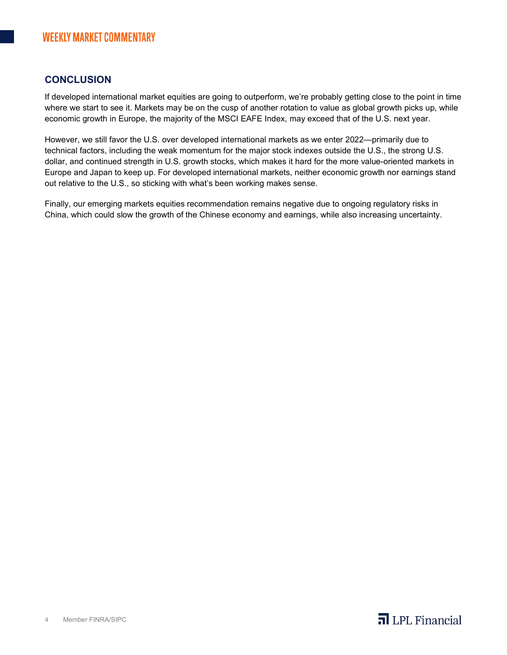#### **CONCLUSION**

If developed international market equities are going to outperform, we're probably getting close to the point in time where we start to see it. Markets may be on the cusp of another rotation to value as global growth picks up, while economic growth in Europe, the majority of the MSCI EAFE Index, may exceed that of the U.S. next year.

However, we still favor the U.S. over developed international markets as we enter 2022—primarily due to technical factors, including the weak momentum for the major stock indexes outside the U.S., the strong U.S. dollar, and continued strength in U.S. growth stocks, which makes it hard for the more value-oriented markets in Europe and Japan to keep up. For developed international markets, neither economic growth nor earnings stand out relative to the U.S., so sticking with what's been working makes sense.

Finally, our emerging markets equities recommendation remains negative due to ongoing regulatory risks in China, which could slow the growth of the Chinese economy and earnings, while also increasing uncertainty.